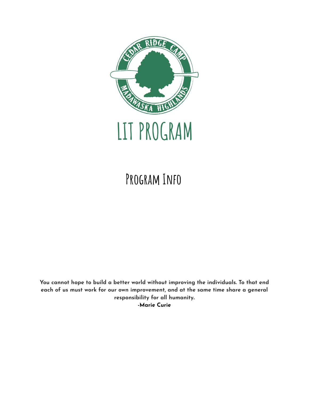

# **Program Info**

**You cannot hope to build a better world without improving the [individuals.](https://www.azquotes.com/quote/356790) To that end each of us must work for our own [improvement,](https://www.azquotes.com/quote/356790) and at the same time share a general [responsibility](https://www.azquotes.com/quote/356790) for all humanity. -Marie Curie**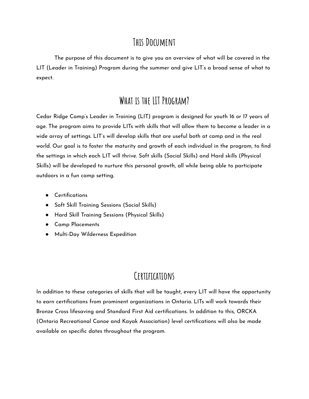### THIS DOCUMENT

The purpose of this document is to give you an overview of what will be covered in the LIT (Leader in Training) Program during the summer and give LIT's a broad sense of what to expect.

### **What is the LIT Program?**

Cedar Ridge Camp's Leader in Training (LIT) program is designed for youth 16 or 17 years of age. The program aims to provide LITs with skills that will allow them to become a leader in a wide array of settings. LIT's will develop skills that are useful both at camp and in the real world. Our goal is to foster the maturity and growth of each individual in the program, to find the settings in which each LIT will thrive. Soft skills (Social Skills) and Hard skills (Physical Skills) will be developed to nurture this personal growth, all while being able to participate outdoors in a fun camp setting.

- Certifications
- Soft Skill Training Sessions (Social Skills)
- Hard Skill Training Sessions (Physical Skills)
- Camp Placements
- Multi-Day Wilderness Expedition

## **Certifications**

In addition to these categories of skills that will be taught, every LIT will have the opportunity to earn certifications from prominent organizations in Ontario. LITs will work towards their Bronze Cross lifesaving and Standard First Aid certifications. In addition to this, ORCKA (Ontario Recreational Canoe and Kayak Association) level certifications will also be made available on specific dates throughout the program.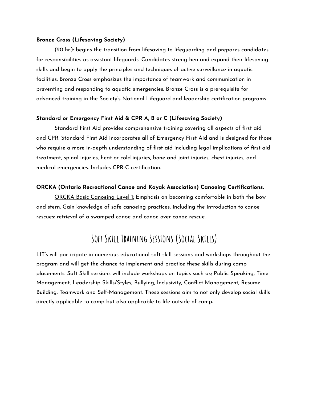#### **Bronze Cross (Lifesaving Society)**

(20 hr.): begins the transition from lifesaving to lifeguarding and prepares candidates for responsibilities as assistant lifeguards. Candidates strengthen and expand their lifesaving skills and begin to apply the principles and techniques of active surveillance in aquatic facilities. Bronze Cross emphasizes the importance of teamwork and communication in preventing and responding to aquatic emergencies. Bronze Cross is a prerequisite for advanced training in the Society's National Lifeguard and leadership certification programs.

#### **Standard or Emergency First Aid & CPR A, B or C (Lifesaving Society)**

Standard First Aid provides comprehensive training covering all aspects of first aid and CPR. Standard First Aid incorporates all of Emergency First Aid and is designed for those who require a more in-depth understanding of first aid including legal implications of first aid treatment, spinal injuries, heat or cold injuries, bone and joint injuries, chest injuries, and medical emergencies. Includes CPR-C certification.

#### **ORCKA (Ontario Recreational Canoe and Kayak Association) Canoeing Certifications.**

ORCKA Basic Canoeing Level 1: Emphasis on becoming comfortable in both the bow and stern. Gain knowledge of safe canoeing practices, including the introduction to canoe rescues: retrieval of a swamped canoe and canoe over canoe rescue.

### **Soft Skill Training Sessions (Social Skills)**

LIT's will participate in numerous educational soft skill sessions and workshops throughout the program and will get the chance to implement and practice these skills during camp placements. Soft Skill sessions will include workshops on topics such as; Public Speaking, Time Management, Leadership Skills/Styles, Bullying, Inclusivity, Conflict Management, Resume Building, Teamwork and Self-Management. These sessions aim to not only develop social skills directly applicable to camp but also applicable to life outside of camp**.**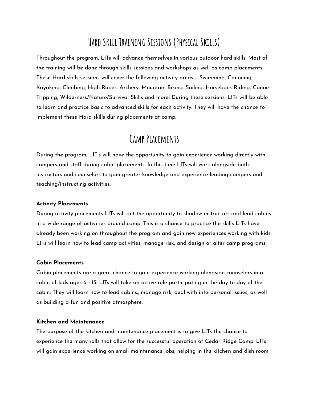# **Hard Skill Training Sessions (Physical Skills)**

Throughout the program, LITs will advance themselves in various outdoor hard skills. Most of the training will be done through skills sessions and workshops as well as camp placements. These Hard skills sessions will cover the following activity areas – Swimming, Canoeing, Kayaking, Climbing, High Ropes, Archery, Mountain Biking, Sailing, Horseback Riding, Canoe Tripping, Wilderness/Nature/Survival Skills and more! During these sessions, LITs will be able to learn and practice basic to advanced skills for each activity. They will have the chance to implement these Hard skills during placements at camp.

### **Camp Placements**

During the program, LIT's will have the opportunity to gain experience working directly with campers and staff during cabin placements. In this time LITs will work alongside both instructors and counselors to gain greater knowledge and experience leading campers and teaching/instructing activities.

#### **Activity Placements**

During activity placements LITs will get the opportunity to shadow instructors and lead cabins in a wide range of activities around camp. This is a chance to practice the skills LITs have already been working on throughout the program and gain new experiences working with kids. LITs will learn how to lead camp activities, manage risk, and design or alter camp programs.

#### **Cabin Placements**

Cabin placements are a great chance to gain experience working alongside counselors in a cabin of kids ages 6 - 15. LITs will take an active role participating in the day to day of the cabin. They will learn how to lead cabins., manage risk, deal with interpersonal issues, as well as building a fun and positive atmosphere.

#### **Kitchen and Maintenance**

The purpose of the kitchen and maintenance placement is to give LITs the chance to experience the many rolls that allow for the successful operation of Cedar Ridge Camp. LITs will gain experience working on small maintenance jobs, helping in the kitchen and dish room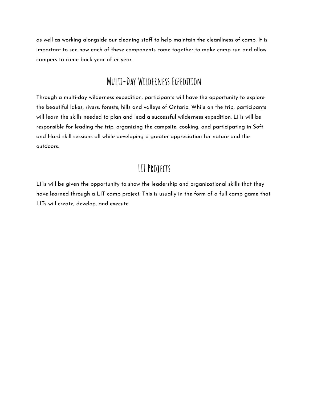as well as working alongside our cleaning staff to help maintain the cleanliness of camp. It is important to see how each of these components come together to make camp run and allow campers to come back year after year.

### **Multi-Day Wilderness Expedition**

Through a multi-day wilderness expedition, participants will have the opportunity to explore the beautiful lakes, rivers, forests, hills and valleys of Ontario. While on the trip, participants will learn the skills needed to plan and lead a successful wilderness expedition. LITs will be responsible for leading the trip, organizing the campsite, cooking, and participating in Soft and Hard skill sessions all while developing a greater appreciation for nature and the outdoors**.**

## **LIT Projects**

LITs will be given the opportunity to show the leadership and organizational skills that they have learned through a LIT camp project. This is usually in the form of a full camp game that LITs will create, develop, and execute.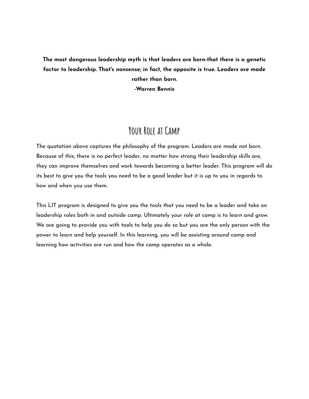### **The most dangerous leadership myth is that leaders are born-that there is a genetic factor to leadership. That's nonsense; in fact, the opposite is true. Leaders are made rather than born.**

**-Warren Bennis**

### **Your Role at Camp**

The quotation above captures the philosophy of the program. Leaders are made not born. Because of this, there is no perfect leader, no matter how strong their leadership skills are, they can improve themselves and work towards becoming a better leader. This program will do its best to give you the tools you need to be a good leader but it is up to you in regards to how and when you use them.

This LIT program is designed to give you the tools that you need to be a leader and take on leadership roles both in and outside camp. Ultimately your role at camp is to learn and grow. We are going to provide you with tools to help you do so but you are the only person with the power to learn and help yourself. In this learning, you will be assisting around camp and learning how activities are run and how the camp operates as a whole.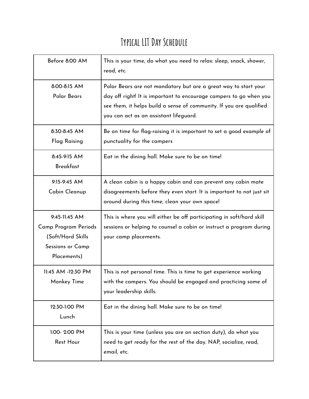# **Typical LITDay Schedule**

| Before 8:00 AM                                                                                 | This is your time, do what you need to relax: sleep, snack, shower,<br>read, etc.                                                                                                                                                                      |
|------------------------------------------------------------------------------------------------|--------------------------------------------------------------------------------------------------------------------------------------------------------------------------------------------------------------------------------------------------------|
| 8:00-8:15 AM<br>Polar Bears                                                                    | Polar Bears are not mandatory but are a great way to start your<br>day off right! It is important to encourage campers to go when you<br>see them, it helps build a sense of community. If you are qualified<br>you can act as an assistant lifeguard. |
| 8:30-8:45 AM<br>Flag Raising                                                                   | Be on time for flag-raising it is important to set a good example of<br>punctuality for the campers                                                                                                                                                    |
| 8:45-9:15 AM<br><b>Breakfast</b>                                                               | Eat in the dining hall. Make sure to be on time!                                                                                                                                                                                                       |
| 9:15-9:45 AM<br>Cabin Cleanup                                                                  | A clean cabin is a happy cabin and can prevent any cabin mate<br>disagreements before they even start. It is important to not just sit<br>around during this time, clean your own space!                                                               |
| 9:45-11:45 AM<br>Camp Program Periods<br>(Soft/Hard Skills)<br>Sessions or Camp<br>Placements) | This is where you will either be off participating in soft/hard skill<br>sessions or helping to counsel a cabin or instruct a program during<br>your camp placements.                                                                                  |
| 11:45 AM -12:30 PM<br>Monkey Time                                                              | This is not personal time. This is time to get experience working<br>with the campers. You should be engaged and practicing some of<br>your leadership skills.                                                                                         |
| 12:30-1:00 PM<br>Lunch                                                                         | Eat in the dining hall. Make sure to be on time!                                                                                                                                                                                                       |
| 1:00-2:00 PM<br><b>Rest Hour</b>                                                               | This is your time (unless you are on section duty), do what you<br>need to get ready for the rest of the day. NAP, socialize, read,<br>email, etc.                                                                                                     |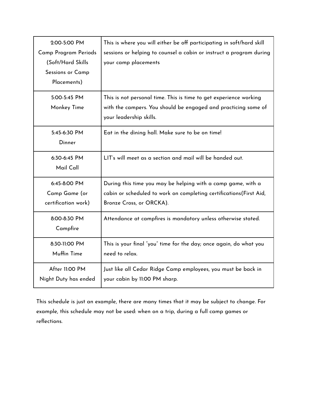| 2:00-5:00 PM         |                                                                       |
|----------------------|-----------------------------------------------------------------------|
|                      | This is where you will either be off participating in soft/hard skill |
| Camp Program Periods | sessions or helping to counsel a cabin or instruct a program during   |
| (Soft/Hard Skills    | your camp placements                                                  |
| Sessions or Camp     |                                                                       |
| Placements)          |                                                                       |
|                      |                                                                       |
| 5:00-5:45 PM         | This is not personal time. This is time to get experience working     |
| Monkey Time          | with the campers. You should be engaged and practicing some of        |
|                      | your leadership skills.                                               |
|                      |                                                                       |
| 5:45-6:30 PM         | Eat in the dining hall. Make sure to be on time!                      |
| Dinner               |                                                                       |
|                      |                                                                       |
| 6:30-6:45 PM         | LIT's will meet as a section and mail will be handed out.             |
| Mail Call            |                                                                       |
|                      |                                                                       |
| 6:45-8:00 PM         | During this time you may be helping with a camp game, with a          |
| Camp Game (or        | cabin or scheduled to work on completing certifications (First Aid,   |
| certification work)  | Bronze Cross, or ORCKA).                                              |
|                      |                                                                       |
| 8:00-8:30 PM         | Attendance at campfires is mandatory unless otherwise stated.         |
| Campfire             |                                                                       |
|                      |                                                                       |
| 8:30-11:00 PM        | This is your final "you" time for the day; once again, do what you    |
| Muffin Time          | need to relax.                                                        |
| After 11:00 PM       | Just like all Cedar Ridge Camp employees, you must be back in         |
| Night Duty has ended | your cabin by 11:00 PM sharp.                                         |
|                      |                                                                       |

This schedule is just an example, there are many times that it may be subject to change. For example, this schedule may not be used: when on a trip, during a full camp games or reflections.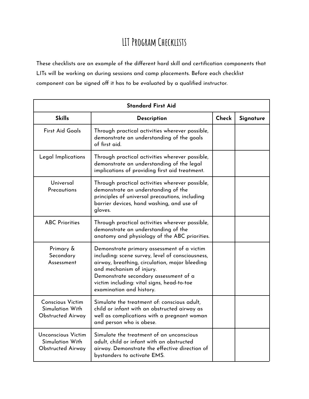# **LIT Program Checklists**

These checklists are an example of the different hard skill and certification components that LITs will be working on during sessions and camp placements. Before each checklist component can be signed off it has to be evaluated by a qualified instructor.

| <b>Standard First Aid</b>                                                |                                                                                                                                                                                                                                                                                                 |       |           |
|--------------------------------------------------------------------------|-------------------------------------------------------------------------------------------------------------------------------------------------------------------------------------------------------------------------------------------------------------------------------------------------|-------|-----------|
| <b>Skills</b>                                                            | Description                                                                                                                                                                                                                                                                                     | Check | Signature |
| <b>First Aid Goals</b>                                                   | Through practical activities wherever possible,<br>demonstrate an understanding of the goals<br>of first aid.                                                                                                                                                                                   |       |           |
| Legal Implications                                                       | Through practical activities wherever possible,<br>demonstrate an understanding of the legal<br>implications of providing first aid treatment.                                                                                                                                                  |       |           |
| Universal<br>Precautions                                                 | Through practical activities wherever possible,<br>demonstrate an understanding of the<br>principles of universal precautions, including<br>barrier devices, hand washing, and use of<br>gloves.                                                                                                |       |           |
| <b>ABC Priorities</b>                                                    | Through practical activities wherever possible,<br>demonstrate an understanding of the<br>anatomy and physiology of the ABC priorities.                                                                                                                                                         |       |           |
| Primary &<br>Secondary<br>Assessment                                     | Demonstrate primary assessment of a victim<br>including: scene survey, level of consciousness,<br>airway, breathing, circulation, major bleeding<br>and mechanism of injury.<br>Demonstrate secondary assessment of a<br>victim including: vital signs, head-to-toe<br>examination and history. |       |           |
| <b>Conscious Victim</b><br>Simulation With<br><b>Obstructed Airway</b>   | Simulate the treatment of: conscious adult,<br>child or infant with an obstructed airway as<br>well as complications with a pregnant woman<br>and person who is obese.                                                                                                                          |       |           |
| <b>Unconscious Victim</b><br>Simulation With<br><b>Obstructed Airway</b> | Simulate the treatment of an unconscious<br>adult, child or infant with an obstructed<br>airway. Demonstrate the effective direction of<br>bystanders to activate EMS.                                                                                                                          |       |           |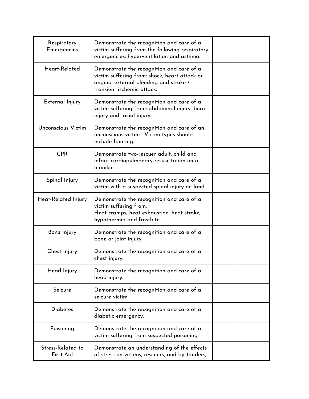| Respiratory<br><b>Emergencies</b> | Demonstrate the recognition and care of a<br>victim suffering from the following respiratory<br>emergencies: hyperventilation and asthma.                          |  |
|-----------------------------------|--------------------------------------------------------------------------------------------------------------------------------------------------------------------|--|
| Heart-Related                     | Demonstrate the recognition and care of a<br>victim suffering from: shock, heart attack or<br>angina, external bleeding and stroke /<br>transient ischemic attack. |  |
| External Injury                   | Demonstrate the recognition and care of a<br>victim suffering from: abdominal injury, burn<br>injury and facial injury.                                            |  |
| Unconscious Victim                | Demonstrate the recognition and care of an<br>unconscious victim. Victim types should<br>include fainting.                                                         |  |
| <b>CPR</b>                        | Demonstrate two-rescuer adult, child and<br>infant cardiopulmonary resuscitation on a<br>manikin.                                                                  |  |
| Spinal Injury                     | Demonstrate the recognition and care of a<br>victim with a suspected spinal injury on land.                                                                        |  |
| Heat-Related Injury               | Demonstrate the recognition and care of a<br>victim suffering from:<br>Heat cramps, heat exhaustion, heat stroke,<br>hypothermia and frostbite                     |  |
| Bone Injury                       | Demonstrate the recognition and care of a<br>bone or joint injury.                                                                                                 |  |
| Chest Injury                      | Demonstrate the recognition and care of a<br>chest injury.                                                                                                         |  |
| Head Injury                       | Demonstrate the recognition and care of a<br>head injury.                                                                                                          |  |
| Seizure                           | Demonstrate the recognition and care of a<br>seizure victim.                                                                                                       |  |
| <b>Diabetes</b>                   | Demonstrate the recognition and care of a<br>diabetic emergency.                                                                                                   |  |
| Poisoning                         | Demonstrate the recognition and care of a<br>victim suffering from suspected poisoning.                                                                            |  |
| Stress-Related to<br>First Aid    | Demonstrate an understanding of the effects<br>of stress on victims, rescuers, and bystanders,                                                                     |  |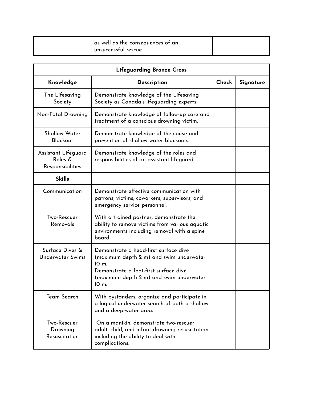| unsuccessful rescue. |
|----------------------|
|----------------------|

| <b>Lifeguarding Bronze Cross</b>                   |                                                                                                                                                                                                    |       |           |
|----------------------------------------------------|----------------------------------------------------------------------------------------------------------------------------------------------------------------------------------------------------|-------|-----------|
| Knowledge                                          | Description                                                                                                                                                                                        | Check | Signature |
| The Lifesaving<br>Society                          | Demonstrate knowledge of the Lifesaving<br>Society as Canada's lifeguarding experts.                                                                                                               |       |           |
| Non-Fatal Drowning                                 | Demonstrate knowledge of follow-up care and<br>treatment of a conscious drowning victim.                                                                                                           |       |           |
| <b>Shallow Water</b><br><b>Blackout</b>            | Demonstrate knowledge of the cause and<br>prevention of shallow water blackouts.                                                                                                                   |       |           |
| Assistant Lifeguard<br>Roles &<br>Responsibilities | Demonstrate knowledge of the roles and<br>responsibilities of an assistant lifeguard.                                                                                                              |       |           |
| <b>Skills</b>                                      |                                                                                                                                                                                                    |       |           |
| Communication                                      | Demonstrate effective communication with<br>patrons, victims, coworkers, supervisors, and<br>emergency service personnel.                                                                          |       |           |
| Two-Rescuer<br>Removals                            | With a trained partner, demonstrate the<br>ability to remove victims from various aquatic<br>environments including removal with a spine<br>board.                                                 |       |           |
| Surface Dives &<br><b>Underwater Swims</b>         | Demonstrate a head-first surface dive<br>(maximum depth 2 m) and swim underwater<br>10 <sub>m</sub><br>Demonstrate a foot-first surface dive<br>(maximum depth 2 m) and swim underwater<br>$10m$ . |       |           |
| Team Search                                        | With bystanders, organize and participate in<br>a logical underwater search of both a shallow<br>and a deep-water area.                                                                            |       |           |
| Two-Rescuer<br>Drowning<br><b>Resuscitation</b>    | On a manikin, demonstrate two-rescuer<br>adult, child, and infant drowning resuscitation<br>including the ability to deal with<br>complications.                                                   |       |           |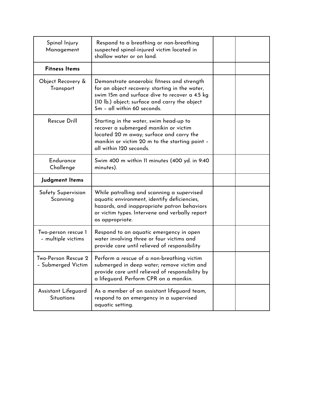| Spinal Injury<br>Management               | Respond to a breathing or non-breathing<br>suspected spinal-injured victim located in<br>shallow water or on land.                                                                                                            |  |
|-------------------------------------------|-------------------------------------------------------------------------------------------------------------------------------------------------------------------------------------------------------------------------------|--|
| <b>Fitness Items</b>                      |                                                                                                                                                                                                                               |  |
| Object Recovery &<br>Transport            | Demonstrate anaerobic fitness and strength<br>for an object recovery: starting in the water,<br>swim 15m and surface dive to recover a 4.5 kg<br>(10 lb.) object; surface and carry the object<br>5m - all within 60 seconds. |  |
| <b>Rescue Drill</b>                       | Starting in the water, swim head-up to<br>recover a submerged manikin or victim<br>located 20 m away; surface and carry the<br>manikin or victim 20 m to the starting point -<br>all within 120 seconds.                      |  |
| Endurance<br>Challenge                    | Swim 400 m within 11 minutes (400 yd. in 9:40<br>minutes).                                                                                                                                                                    |  |
| Judgment Items                            |                                                                                                                                                                                                                               |  |
| Safety Supervision<br>Scanning            | While patrolling and scanning a supervised<br>aquatic environment, identify deficiencies,<br>hazards, and inappropriate patron behaviors<br>or victim types. Intervene and verbally report<br>as appropriate.                 |  |
| Two-person rescue 1<br>- multiple victims | Respond to an aquatic emergency in open<br>water involving three or four victims and<br>provide care until relieved of responsibility                                                                                         |  |
| Two-Person Rescue 2<br>- Submerged Victim | Perform a rescue of a non-breathing victim<br>submerged in deep water; remove victim and<br>provide care until relieved of responsibility by<br>a lifeguard. Perform CPR on a manikin.                                        |  |
| Assistant Lifeguard<br><b>Situations</b>  | As a member of an assistant lifeguard team,<br>respond to an emergency in a supervised<br>aquatic setting.                                                                                                                    |  |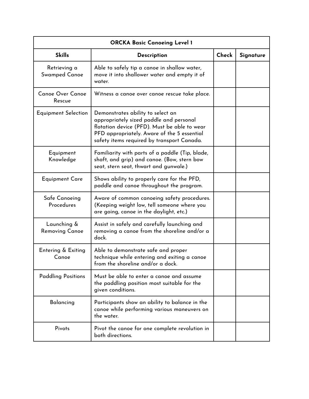| <b>ORCKA Basic Canoeing Level 1</b>  |                                                                                                                                                                                                                           |       |           |
|--------------------------------------|---------------------------------------------------------------------------------------------------------------------------------------------------------------------------------------------------------------------------|-------|-----------|
| <b>Skills</b>                        | Description                                                                                                                                                                                                               | Check | Signature |
| Retrieving a<br>Swamped Canoe        | Able to safely tip a canoe in shallow water,<br>move it into shallower water and empty it of<br>water.                                                                                                                    |       |           |
| <b>Canoe Over Canoe</b><br>Rescue    | Witness a canoe over canoe rescue take place.                                                                                                                                                                             |       |           |
| Equipment Selection                  | Demonstrates ability to select an<br>appropriately sized paddle and personal<br>flotation device (PFD). Must be able to wear<br>PFD appropriately. Aware of the 5 essential<br>safety items required by transport Canada. |       |           |
| Equipment<br>Knowledge               | Familiarity with parts of a paddle (Tip, blade,<br>shaft, and grip) and canoe. (Bow, stern bow<br>seat, stern seat, thwart and gunwale.)                                                                                  |       |           |
| <b>Equipment Care</b>                | Shows ability to properly care for the PFD,<br>paddle and canoe throughout the program.                                                                                                                                   |       |           |
| Safe Canoeing<br>Procedures          | Aware of common canoeing safety procedures.<br>(Keeping weight low, tell someone where you<br>are going, canoe in the daylight, etc.)                                                                                     |       |           |
| Launching &<br><b>Removing Canoe</b> | Assist in safely and carefully launching and<br>removing a canoe from the shoreline and/or a<br>dock.                                                                                                                     |       |           |
| Entering & Exiting<br>Canoe          | Able to demonstrate safe and proper<br>technique while entering and exiting a canoe<br>from the shoreline and/or a dock.                                                                                                  |       |           |
| <b>Paddling Positions</b>            | Must be able to enter a canoe and assume<br>the paddling position most suitable for the<br>given conditions.                                                                                                              |       |           |
| Balancing                            | Participants show an ability to balance in the<br>canoe while performing various maneuvers on<br>the water.                                                                                                               |       |           |
| Pivots                               | Pivot the canoe for one complete revolution in<br>both directions.                                                                                                                                                        |       |           |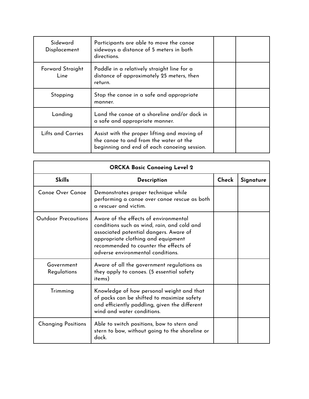| Sideward<br>Displacement | Participants are able to move the canoe<br>sideways a distance of 5 meters in both<br>directions.                                     |  |
|--------------------------|---------------------------------------------------------------------------------------------------------------------------------------|--|
| Forward Straight<br>Line | Paddle in a relatively straight line for a<br>distance of approximately 25 meters, then<br>return.                                    |  |
| Stopping                 | Stop the canoe in a safe and appropriate<br>manner.                                                                                   |  |
| Landing                  | Land the canoe at a shoreline and/or dock in<br>a safe and appropriate manner.                                                        |  |
| <b>Lifts and Carries</b> | Assist with the proper lifting and moving of<br>the canoe to and from the water at the<br>beginning and end of each canoeing session. |  |

| <b>ORCKA Basic Canoeing Level 2</b> |                                                                                                                                                                                                                                                    |       |           |
|-------------------------------------|----------------------------------------------------------------------------------------------------------------------------------------------------------------------------------------------------------------------------------------------------|-------|-----------|
| <b>Skills</b>                       | <b>Description</b>                                                                                                                                                                                                                                 | Check | Signature |
| <b>Canoe Over Canoe</b>             | Demonstrates proper technique while<br>performing a canoe over canoe rescue as both<br>a rescuer and victim.                                                                                                                                       |       |           |
| <b>Outdoor Precautions</b>          | Aware of the effects of environmental<br>conditions such as wind, rain, and cold and<br>associated potential dangers. Aware of<br>appropriate clothing and equipment<br>recommended to counter the effects of<br>adverse environmental conditions. |       |           |
| Government<br>Regulations           | Aware of all the government regulations as<br>they apply to canoes. (5 essential safety<br>items)                                                                                                                                                  |       |           |
| Trimming                            | Knowledge of how personal weight and that<br>of packs can be shifted to maximize safety<br>and efficiently paddling, given the different<br>wind and water conditions.                                                                             |       |           |
| <b>Changing Positions</b>           | Able to switch positions, bow to stern and<br>stern to bow, without going to the shoreline or<br>dock.                                                                                                                                             |       |           |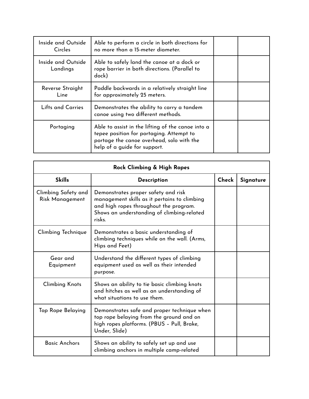| Inside and Outside<br>Circles  | Able to perform a circle in both directions for<br>no more than a 15-meter diameter.                                                                                       |  |
|--------------------------------|----------------------------------------------------------------------------------------------------------------------------------------------------------------------------|--|
| Inside and Outside<br>Landings | Able to safely land the canoe at a dock or<br>rope barrier in both directions. (Parallel to<br>dock)                                                                       |  |
| Reverse Straight<br>Line       | Paddle backwards in a relatively straight line<br>for approximately 25 meters.                                                                                             |  |
| Lifts and Carries              | Demonstrates the ability to carry a tandem<br>canoe using two different methods.                                                                                           |  |
| Portaging                      | Able to assist in the lifting of the canoe into a<br>tepee position for portaging. Attempt to<br>portage the canoe overhead, solo with the<br>help of a guide for support. |  |

| Rock Climbing & High Ropes             |                                                                                                                                                                                       |       |           |
|----------------------------------------|---------------------------------------------------------------------------------------------------------------------------------------------------------------------------------------|-------|-----------|
| <b>Skills</b>                          | <b>Description</b>                                                                                                                                                                    | Check | Signature |
| Climbing Safety and<br>Risk Management | Demonstrates proper safety and risk<br>management skills as it pertains to climbing<br>and high ropes throughout the program.<br>Shows an understanding of climbing-related<br>risks. |       |           |
| Climbing Technique                     | Demonstrates a basic understanding of<br>climbing techniques while on the wall. (Arms,<br>Hips and Feet)                                                                              |       |           |
| Gear and<br>Equipment                  | Understand the different types of climbing<br>equipment used as well as their intended<br>purpose.                                                                                    |       |           |
| <b>Climbing Knots</b>                  | Shows an ability to tie basic climbing knots<br>and hitches as well as an understanding of<br>what situations to use them.                                                            |       |           |
| Top Rope Belaying                      | Demonstrates safe and proper technique when<br>top rope belaying from the ground and on<br>high ropes platforms. (PBUS – Pull, Brake,<br>Under, Slide)                                |       |           |
| <b>Basic Anchors</b>                   | Shows an ability to safely set up and use<br>climbing anchors in multiple camp-related                                                                                                |       |           |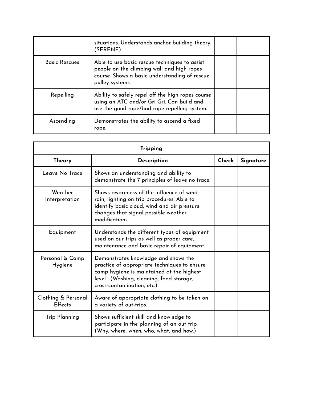|                      | situations. Understands anchor building theory.<br>(SERENE)                                                                                                     |  |
|----------------------|-----------------------------------------------------------------------------------------------------------------------------------------------------------------|--|
| <b>Basic Rescues</b> | Able to use basic rescue techniques to assist<br>people on the climbing wall and high ropes<br>course. Shows a basic understanding of rescue<br>pulley systems. |  |
| Repelling            | Ability to safely repel off the high ropes course<br>using an ATC and/or Gri Gri. Can build and<br>use the good rope/bad rope repelling system.                 |  |
| Ascending            | Demonstrates the ability to ascend a fixed<br>rope.                                                                                                             |  |

| <b>Tripping</b>                |                                                                                                                                                                                                             |       |           |
|--------------------------------|-------------------------------------------------------------------------------------------------------------------------------------------------------------------------------------------------------------|-------|-----------|
| Theory                         | <b>Description</b>                                                                                                                                                                                          | Check | Signature |
| Leave No Trace                 | Shows an understanding and ability to<br>demonstrate the 7 principles of leave no trace.                                                                                                                    |       |           |
| Weather<br>Interpretation      | Shows awareness of the influence of wind,<br>rain, lighting on trip procedures. Able to<br>identify basic cloud, wind and air pressure<br>changes that signal possible weather<br>modifications.            |       |           |
| Equipment                      | Understands the different types of equipment<br>used on our trips as well as proper care,<br>maintenance and basic repair of equipment.                                                                     |       |           |
| Personal & Camp<br>Hygiene     | Demonstrates knowledge and shows the<br>practice of appropriate techniques to ensure<br>camp hygiene is maintained at the highest<br>level. (Washing, cleaning, food storage,<br>cross-contamination, etc.) |       |           |
| Clothing & Personal<br>Effects | Aware of appropriate clothing to be taken on<br>a variety of out-trips.                                                                                                                                     |       |           |
| <b>Trip Planning</b>           | Shows sufficient skill and knowledge to<br>participate in the planning of an out trip.<br>(Why, where, when, who, what, and how.)                                                                           |       |           |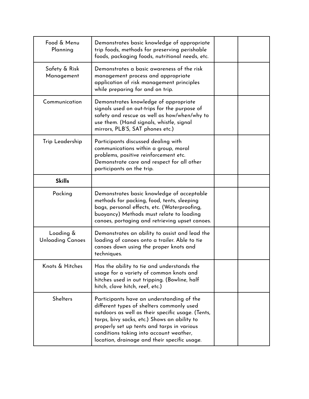| Food & Menu<br>Planning              | Demonstrates basic knowledge of appropriate<br>trip foods, methods for preserving perishable<br>foods, packaging foods, nutritional needs, etc.                                                                                                                                                                                      |  |
|--------------------------------------|--------------------------------------------------------------------------------------------------------------------------------------------------------------------------------------------------------------------------------------------------------------------------------------------------------------------------------------|--|
| Safety & Risk<br>Management          | Demonstrates a basic awareness of the risk<br>management process and appropriate<br>application of risk management principles<br>while preparing for and on trip.                                                                                                                                                                    |  |
| Communication                        | Demonstrates knowledge of appropriate<br>signals used on out-trips for the purpose of<br>safety and rescue as well as how/when/why to<br>use them. (Hand signals, whistle, signal<br>mirrors, PLB'S, SAT phones etc.)                                                                                                                |  |
| Trip Leadership                      | Participants discussed dealing with<br>communications within a group, moral<br>problems, positive reinforcement etc.<br>Demonstrate care and respect for all other<br>participants on the trip.                                                                                                                                      |  |
| <b>Skills</b>                        |                                                                                                                                                                                                                                                                                                                                      |  |
| Packing                              | Demonstrates basic knowledge of acceptable<br>methods for packing, food, tents, sleeping<br>bags, personal effects, etc. (Waterproofing,<br>buoyancy) Methods must relate to loading<br>canoes, portaging and retrieving upset canoes.                                                                                               |  |
| Loading &<br><b>Unloading Canoes</b> | Demonstrates an ability to assist and lead the<br>loading of canoes onto a trailer. Able to tie<br>canoes down using the proper knots and<br>techniques.                                                                                                                                                                             |  |
| Knots & Hitches                      | Has the ability to tie and understands the<br>usage for a variety of common knots and<br>hitches used in out tripping. (Bowline, half<br>hitch, clove hitch, reef, etc.)                                                                                                                                                             |  |
| <b>Shelters</b>                      | Participants have an understanding of the<br>different types of shelters commonly used<br>outdoors as well as their specific usage. (Tents,<br>tarps, bivy sacks, etc.) Shows an ability to<br>properly set up tents and tarps in various<br>conditions taking into account weather,<br>location, drainage and their specific usage. |  |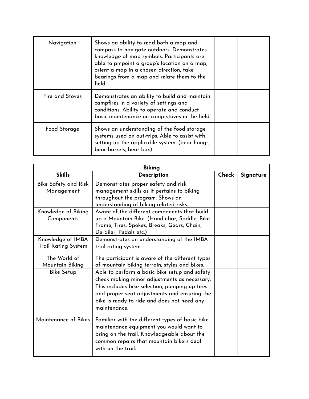| Navigation      | Shows an ability to read both a map and<br>compass to navigate outdoors. Demonstrates<br>knowledge of map symbols. Participants are<br>able to pinpoint a group's location on a map,<br>orient a map in a chosen direction, take<br>bearings from a map and relate them to the<br>field. |  |
|-----------------|------------------------------------------------------------------------------------------------------------------------------------------------------------------------------------------------------------------------------------------------------------------------------------------|--|
| Fire and Stoves | Demonstrates an ability to build and maintain<br>campfires in a variety of settings and<br>conditions. Ability to operate and conduct<br>basic maintenance on camp stoves in the field.                                                                                                  |  |
| Food Storage    | Shows an understanding of the food storage<br>systems used on out-trips. Able to assist with<br>setting up the applicable system. (bear hangs,<br>bear barrels, bear box)                                                                                                                |  |

| <b>Biking</b>                                   |                                                                                                                                                                                                                                                                |       |           |
|-------------------------------------------------|----------------------------------------------------------------------------------------------------------------------------------------------------------------------------------------------------------------------------------------------------------------|-------|-----------|
| <b>Skills</b>                                   | Description                                                                                                                                                                                                                                                    | Check | Signature |
| Bike Safety and Risk<br>Management              | Demonstrates proper safety and risk<br>management skills as it pertains to biking<br>throughout the program. Shows an<br>understanding of biking-related risks.                                                                                                |       |           |
| Knowledge of Biking<br>Components               | Aware of the different components that build<br>up a Mountain Bike. (Handlebar, Saddle, Bike<br>Frame, Tires, Spokes, Breaks, Gears, Chain,<br>Derailer, Pedals etc.)                                                                                          |       |           |
| Knowledge of IMBA<br><b>Trail Rating System</b> | Demonstrates an understanding of the IMBA<br>trail rating system.                                                                                                                                                                                              |       |           |
| The World of<br>Mountain Biking                 | The participant is aware of the different types<br>of mountain biking terrain, styles and bikes.                                                                                                                                                               |       |           |
| <b>Bike Setup</b>                               | Able to perform a basic bike setup and safety<br>check making minor adjustments as necessary.<br>This includes bike selection, pumping up tires<br>and proper seat adjustments and ensuring the<br>bike is ready to ride and does not need any<br>maintenance. |       |           |
| Maintenance of Bikes                            | Familiar with the different types of basic bike<br>maintenance equipment you would want to<br>bring on the trail. Knowledgeable about the<br>common repairs that mountain bikers deal<br>with on the trail.                                                    |       |           |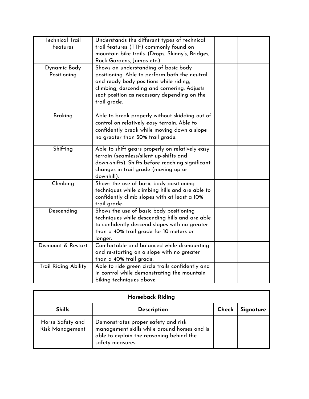| <b>Technical Trail</b><br><b>Features</b> | Understands the different types of technical<br>trail features (TTF) commonly found on<br>mountain bike trails. (Drops, Skinny's, Bridges,<br>Rock Gardens, Jumps etc.)                                                                       |  |
|-------------------------------------------|-----------------------------------------------------------------------------------------------------------------------------------------------------------------------------------------------------------------------------------------------|--|
| Dynamic Body<br>Positioning               | Shows an understanding of basic body<br>positioning. Able to perform both the neutral<br>and ready body positions while riding,<br>climbing, descending and cornering. Adjusts<br>seat position as necessary depending on the<br>trail grade. |  |
| <b>Braking</b>                            | Able to break properly without skidding out of<br>control on relatively easy terrain. Able to<br>confidently break while moving down a slope<br>no greater than 30% trail grade.                                                              |  |
| Shifting                                  | Able to shift gears properly on relatively easy<br>terrain (seamless/silent up-shifts and<br>down-shifts). Shifts before reaching significant<br>changes in trail grade (moving up or<br>downhill).                                           |  |
| Climbing                                  | Shows the use of basic body positioning<br>techniques while climbing hills and are able to<br>confidently climb slopes with at least a 10%<br>trail grade.                                                                                    |  |
| Descending                                | Shows the use of basic body positioning<br>techniques while descending hills and are able<br>to confidently descend slopes with no greater<br>than a 40% trail grade for 10 meters or<br>longer.                                              |  |
| Dismount & Restart                        | Comfortable and balanced while dismounting<br>and re-starting on a slope with no greater<br>than a 40% trail grade.                                                                                                                           |  |
| <b>Trail Riding Ability</b>               | Able to ride green circle trails confidently and<br>in control while demonstrating the mountain<br>biking techniques above.                                                                                                                   |  |

| <b>Horseback Riding</b>             |                                                                                                                                                     |       |           |
|-------------------------------------|-----------------------------------------------------------------------------------------------------------------------------------------------------|-------|-----------|
| <b>Skills</b>                       | <b>Description</b>                                                                                                                                  | Check | Signature |
| Horse Safety and<br>Risk Management | Demonstrates proper safety and risk<br>management skills while around horses and is<br>able to explain the reasoning behind the<br>safety measures. |       |           |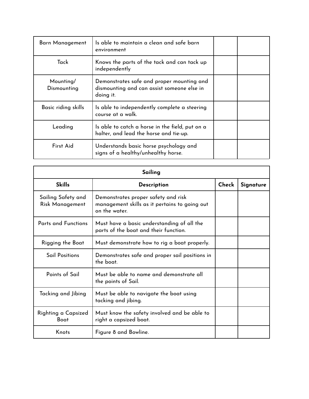| Barn Management          | Is able to maintain a clean and safe barn<br>environment                                             |  |
|--------------------------|------------------------------------------------------------------------------------------------------|--|
| Tack                     | Knows the parts of the tack and can tack up<br>independently                                         |  |
| Mounting/<br>Dismounting | Demonstrates safe and proper mounting and<br>dismounting and can assist someone else in<br>doing it. |  |
| Basic riding skills      | Is able to independently complete a steering<br>course at a walk.                                    |  |
| Leading                  | Is able to catch a horse in the field, put on a<br>halter, and lead the horse and tie-up.            |  |
| First Aid                | Understands basic horse psychology and<br>signs of a healthy/unhealthy horse.                        |  |

| Sailing                               |                                                                                                       |       |           |
|---------------------------------------|-------------------------------------------------------------------------------------------------------|-------|-----------|
| <b>Skills</b>                         | Description                                                                                           | Check | Signature |
| Sailing Safety and<br>Risk Management | Demonstrates proper safety and risk<br>management skills as it pertains to going out<br>on the water. |       |           |
| <b>Parts and Functions</b>            | Must have a basic understanding of all the<br>parts of the boat and their function.                   |       |           |
| Rigging the Boat                      | Must demonstrate how to rig a boat properly.                                                          |       |           |
| <b>Sail Positions</b>                 | Demonstrates safe and proper sail positions in<br>the boat.                                           |       |           |
| Points of Sail                        | Must be able to name and demonstrate all<br>the points of Sail.                                       |       |           |
| Tacking and Jibing                    | Must be able to navigate the boat using<br>tacking and jibing.                                        |       |           |
| Righting a Capsized<br>Boat           | Must know the safety involved and be able to<br>right a capsized boat.                                |       |           |
| Knots                                 | Figure 8 and Bowline.                                                                                 |       |           |